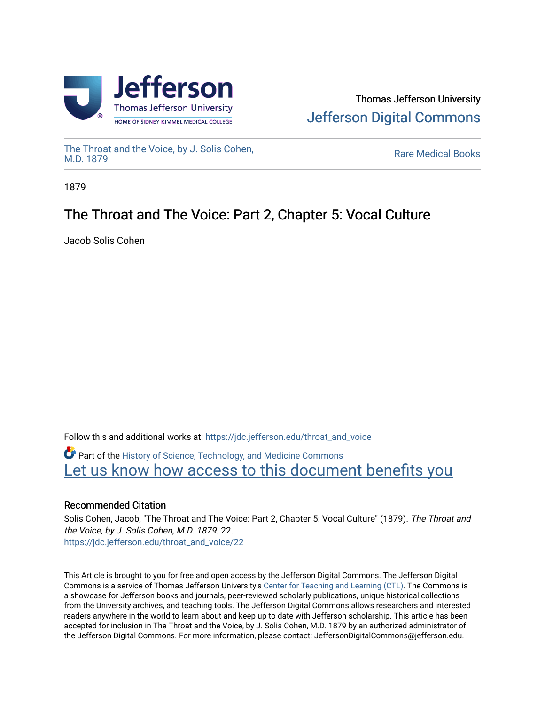



[The Throat and the Voice, by J. Solis Cohen,](https://jdc.jefferson.edu/throat_and_voice)<br>M.D. 1879

**Rare Medical Books** 

1879

# The Throat and The Voice: Part 2, Chapter 5: Vocal Culture

Jacob Solis Cohen

Follow this and additional works at: [https://jdc.jefferson.edu/throat\\_and\\_voice](https://jdc.jefferson.edu/throat_and_voice?utm_source=jdc.jefferson.edu%2Fthroat_and_voice%2F22&utm_medium=PDF&utm_campaign=PDFCoverPages) **P** Part of the History of Science, Technology, and Medicine Commons Let us know how access to this document benefits you

# Recommended Citation

Solis Cohen, Jacob, "The Throat and The Voice: Part 2, Chapter 5: Vocal Culture" (1879). The Throat and the Voice, by J. Solis Cohen, M.D. 1879. 22. [https://jdc.jefferson.edu/throat\\_and\\_voice/22](https://jdc.jefferson.edu/throat_and_voice/22?utm_source=jdc.jefferson.edu%2Fthroat_and_voice%2F22&utm_medium=PDF&utm_campaign=PDFCoverPages) 

This Article is brought to you for free and open access by the Jefferson Digital Commons. The Jefferson Digital Commons is a service of Thomas Jefferson University's [Center for Teaching and Learning \(CTL\)](http://www.jefferson.edu/university/teaching-learning.html/). The Commons is a showcase for Jefferson books and journals, peer-reviewed scholarly publications, unique historical collections from the University archives, and teaching tools. The Jefferson Digital Commons allows researchers and interested readers anywhere in the world to learn about and keep up to date with Jefferson scholarship. This article has been accepted for inclusion in The Throat and the Voice, by J. Solis Cohen, M.D. 1879 by an authorized administrator of the Jefferson Digital Commons. For more information, please contact: JeffersonDigitalCommons@jefferson.edu.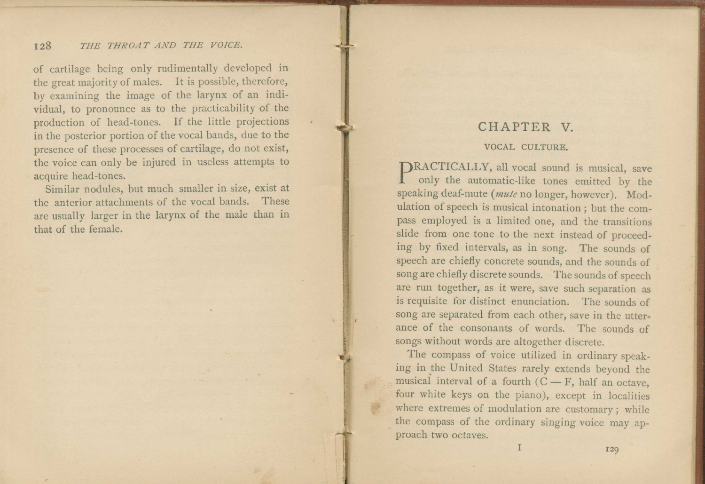### 128 THE THROAT AND THE VOICE.

of cartilage being only rudimentally developed in the great majority of males. It is possible, therefore, by examining the image of the larynx of an individual, to pronounce as to the practicability of the production of head-tones. If the little projections in the posterior portion of the vocal bands, due to the presence of these processes of cartilage, do not exist, the voice can only be injured in useless attempts to acquire head-tones.

Similar nodules, but much smaller in size, exist at the anterior attachments of the vocal bands. These are usually larger in the larynx of the male than in that of the female.

# CHAPTER V

#### VOCAL CULTURE.

**PRACTICALLY, all vocal sound is musical, save only the automatic-like tones emitted by the** only the automatic-like tones emitted by the speaking deaf-mute *(mule* no longer, however). Modulation of speech is musical intonation ; but the compass employed is a limited one, and the transitions slide from one tone to the next instead of proceeding by fixed intervals, as in song. The sounds of speech are chiefly concrete sounds, and the sounds of song are chiefly discrete sounds. The sounds of speech are run together, as it were, save such separation as is requisite for distinct enunciation. The sounds of song are separated from each other, save in the utterance of the consonants of words. The sounds of songs without words are altogether discrete.

The compass of voice utilized in ordinary speaking in the United States rarely extends beyond the musical interval of a fourth  $(C - F)$ , half an octave, four white keys on the piano), except in localities where extremes of modulation are customary; while the compass of the ordinary singing voice may approach two octaves.

I 129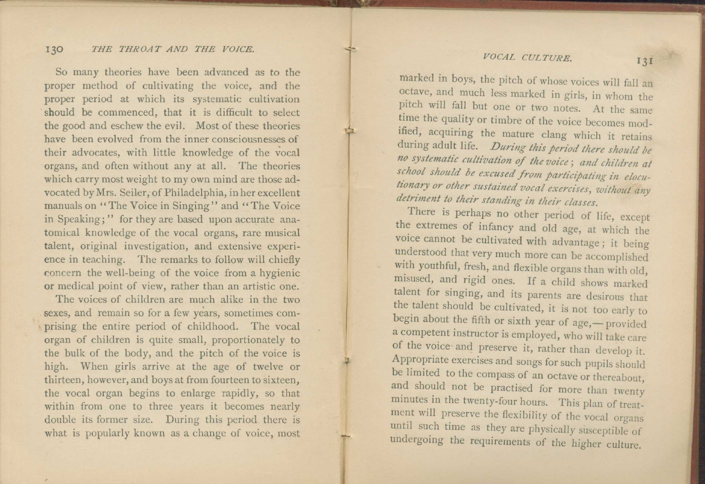# *VOCAL CULTURE.* 131

### 130 *THE THROAT AND THE VOICE.*

So many theories have been advanced as to the proper method of cultivating the voice, and the proper period at which its systematic cultivation should be commenced, that it is difficult to select the good and eschew the evil. Most of these theories have been evolved from the inner consciousnesses of their advocates, with little knowledge of the vocal organs, and often without any at all. The theories which carry most weight to my own mind are those advocated by Mrs. Seiler, of Philadelphia, in her excellent manuals on "The Voice in Singing" and "The Voice" in Speaking;" for they are based upon accurate anatomical knowledge of the vocal organs, rare musical talent, original investigation, and extensive experience in teaching. The remarks to follow will chiefly concern the well-being of the voice from a hygienic or medical point of view, rather than an artistic one.

The voices of children are much alike in the two sexes, and remain so for a few years, sometimes comprising the entire period of childhood. The vocal organ of children is quite small, proportionately to the bulk of the body, and the pitch of the voice is high. When girls arrive at the age of twelve or thirteen, however, and boys at from fourteen to sixteen, the vocal organ begins to enlarge rapidly, so that within from one to three years it becomes nearly double its former size. During this period there is what is popularly known as a change of voice, most

marked in boys, the pitch of whose voices will fall an octave, and much less marked in girls, in whom the pitch will fall but one or two notes. At the same time the quality or timbre of the voice becomes modified, acquiring the mature clang which it retains during adult life. *During this period there should he no systematic cultivation of the voice ; and children at school should be excused from participating in elocutionary or other sustained vocal exercises, without any detriment to their standing in their classes.* 

There is perhaps no other period of life, except the extremes of infancy and old age, at which the voice cannot be cultivated with advantage ; it being understood that very much more can be accomplished with youthful, fresh, and flexible organs than with old, misused, and rigid ones. If a child shows marked talent for singing, and its parents are desirous that the talent should be cultivated, it is not too early to begin about the fifth or sixth year of age,— provided a competent instructor is employed, who will take care of the voice- and preserve it, rather than develop it. Appropriate exercises and songs for such pupils should be limited to the compass of an octave or thereabout, and should not be practised for more than twenty minutes in the twenty-four hours. This plan of treatment will preserve the flexibility of the vocal organs until such time as they are physically susceptible of undergoing the requirements of the higher culture.